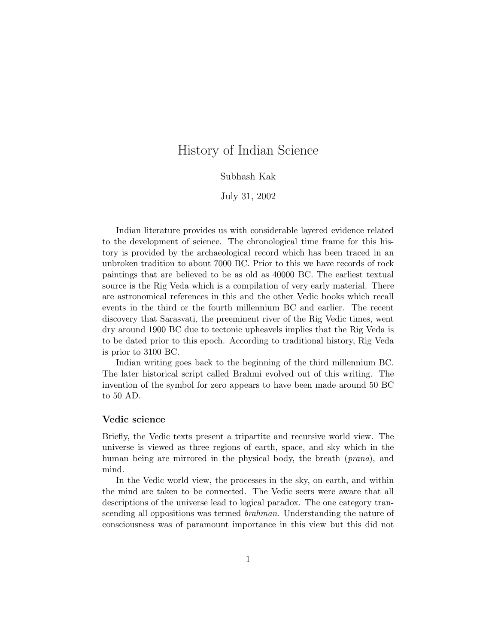# History of Indian Science

# Subhash Kak

# July 31, 2002

Indian literature provides us with considerable layered evidence related to the development of science. The chronological time frame for this history is provided by the archaeological record which has been traced in an unbroken tradition to about 7000 BC. Prior to this we have records of rock paintings that are believed to be as old as 40000 BC. The earliest textual source is the Rig Veda which is a compilation of very early material. There are astronomical references in this and the other Vedic books which recall events in the third or the fourth millennium BC and earlier. The recent discovery that Sarasvati, the preeminent river of the Rig Vedic times, went dry around 1900 BC due to tectonic upheavels implies that the Rig Veda is to be dated prior to this epoch. According to traditional history, Rig Veda is prior to 3100 BC.

Indian writing goes back to the beginning of the third millennium BC. The later historical script called Brahmi evolved out of this writing. The invention of the symbol for zero appears to have been made around 50 BC to 50 AD.

#### **Vedic science**

Briefly, the Vedic texts present a tripartite and recursive world view. The universe is viewed as three regions of earth, space, and sky which in the human being are mirrored in the physical body, the breath (prana), and mind.

In the Vedic world view, the processes in the sky, on earth, and within the mind are taken to be connected. The Vedic seers were aware that all descriptions of the universe lead to logical paradox. The one category transcending all oppositions was termed brahman. Understanding the nature of consciousness was of paramount importance in this view but this did not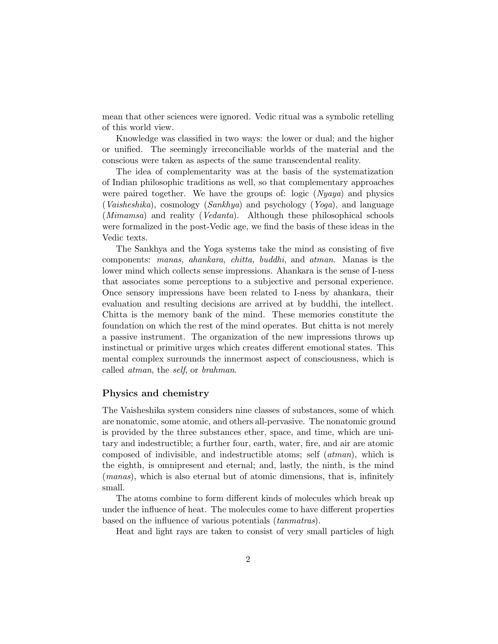mean that other sciences were ignored. Vedic ritual was a symbolic retelling of this world view.

Knowledge was classified in two ways: the lower or dual; and the higher or unified. The seemingly irreconciliable worlds of the material and the conscious were taken as aspects of the same transcendental reality.

The idea of complementarity was at the basis of the systematization of Indian philosophic traditions as well, so that complementary approaches were paired together. We have the groups of: logic  $(Nyawa)$  and physics (Vaisheshika), cosmology (Sankhya) and psychology (Yoga), and language (*Mimamsa*) and reality (*Vedanta*). Although these philosophical schools were formalized in the post-Vedic age, we find the basis of these ideas in the Vedic texts.

The Sankhya and the Yoga systems take the mind as consisting of five components: manas, ahankara, chitta, buddhi, and atman. Manas is the lower mind which collects sense impressions. Ahankara is the sense of I-ness that associates some perceptions to a subjective and personal experience. Once sensory impressions have been related to I-ness by ahankara, their evaluation and resulting decisions are arrived at by buddhi, the intellect. Chitta is the memory bank of the mind. These memories constitute the foundation on which the rest of the mind operates. But chitta is not merely a passive instrument. The organization of the new impressions throws up instinctual or primitive urges which creates different emotional states. This mental complex surrounds the innermost aspect of consciousness, which is called atman, the self, or brahman.

# **Physics and chemistry**

The Vaisheshika system considers nine classes of substances, some of which are nonatomic, some atomic, and others all-pervasive. The nonatomic ground is provided by the three substances ether, space, and time, which are unitary and indestructible; a further four, earth, water, fire, and air are atomic composed of indivisible, and indestructible atoms; self (atman), which is the eighth, is omnipresent and eternal; and, lastly, the ninth, is the mind (manas), which is also eternal but of atomic dimensions, that is, infinitely small.

The atoms combine to form different kinds of molecules which break up under the influence of heat. The molecules come to have different properties based on the influence of various potentials (tanmatras).

Heat and light rays are taken to consist of very small particles of high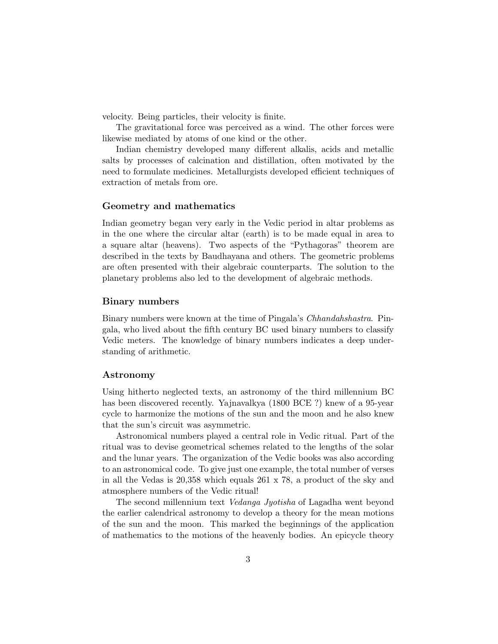velocity. Being particles, their velocity is finite.

The gravitational force was perceived as a wind. The other forces were likewise mediated by atoms of one kind or the other.

Indian chemistry developed many different alkalis, acids and metallic salts by processes of calcination and distillation, often motivated by the need to formulate medicines. Metallurgists developed efficient techniques of extraction of metals from ore.

# **Geometry and mathematics**

Indian geometry began very early in the Vedic period in altar problems as in the one where the circular altar (earth) is to be made equal in area to a square altar (heavens). Two aspects of the "Pythagoras" theorem are described in the texts by Baudhayana and others. The geometric problems are often presented with their algebraic counterparts. The solution to the planetary problems also led to the development of algebraic methods.

# **Binary numbers**

Binary numbers were known at the time of Pingala's Chhandahshastra. Pingala, who lived about the fifth century BC used binary numbers to classify Vedic meters. The knowledge of binary numbers indicates a deep understanding of arithmetic.

#### **Astronomy**

Using hitherto neglected texts, an astronomy of the third millennium BC has been discovered recently. Yajnavalkya (1800 BCE ?) knew of a 95-year cycle to harmonize the motions of the sun and the moon and he also knew that the sun's circuit was asymmetric.

Astronomical numbers played a central role in Vedic ritual. Part of the ritual was to devise geometrical schemes related to the lengths of the solar and the lunar years. The organization of the Vedic books was also according to an astronomical code. To give just one example, the total number of verses in all the Vedas is 20,358 which equals 261 x 78, a product of the sky and atmosphere numbers of the Vedic ritual!

The second millennium text Vedanga Jyotisha of Lagadha went beyond the earlier calendrical astronomy to develop a theory for the mean motions of the sun and the moon. This marked the beginnings of the application of mathematics to the motions of the heavenly bodies. An epicycle theory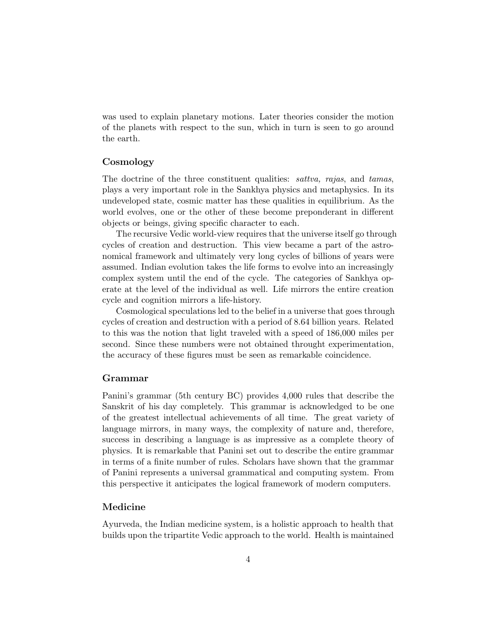was used to explain planetary motions. Later theories consider the motion of the planets with respect to the sun, which in turn is seen to go around the earth.

# **Cosmology**

The doctrine of the three constituent qualities: sattva, rajas, and tamas, plays a very important role in the Sankhya physics and metaphysics. In its undeveloped state, cosmic matter has these qualities in equilibrium. As the world evolves, one or the other of these become preponderant in different objects or beings, giving specific character to each.

The recursive Vedic world-view requires that the universe itself go through cycles of creation and destruction. This view became a part of the astronomical framework and ultimately very long cycles of billions of years were assumed. Indian evolution takes the life forms to evolve into an increasingly complex system until the end of the cycle. The categories of Sankhya operate at the level of the individual as well. Life mirrors the entire creation cycle and cognition mirrors a life-history.

Cosmological speculations led to the belief in a universe that goes through cycles of creation and destruction with a period of 8.64 billion years. Related to this was the notion that light traveled with a speed of 186,000 miles per second. Since these numbers were not obtained throught experimentation, the accuracy of these figures must be seen as remarkable coincidence.

#### **Grammar**

Panini's grammar (5th century BC) provides 4,000 rules that describe the Sanskrit of his day completely. This grammar is acknowledged to be one of the greatest intellectual achievements of all time. The great variety of language mirrors, in many ways, the complexity of nature and, therefore, success in describing a language is as impressive as a complete theory of physics. It is remarkable that Panini set out to describe the entire grammar in terms of a finite number of rules. Scholars have shown that the grammar of Panini represents a universal grammatical and computing system. From this perspective it anticipates the logical framework of modern computers.

# **Medicine**

Ayurveda, the Indian medicine system, is a holistic approach to health that builds upon the tripartite Vedic approach to the world. Health is maintained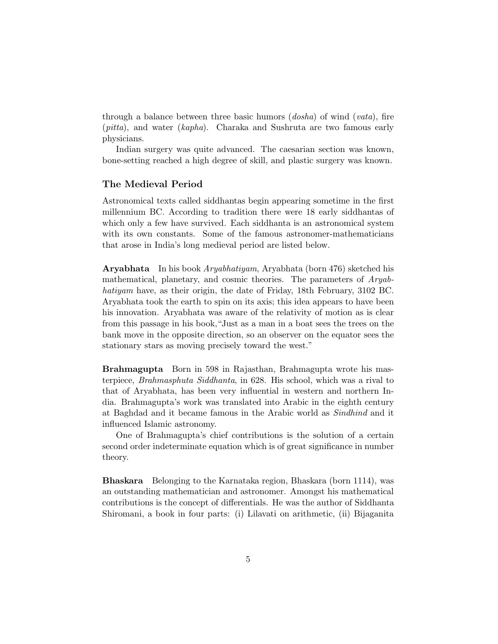through a balance between three basic humors (dosha) of wind (vata), fire (pitta), and water (kapha). Charaka and Sushruta are two famous early physicians.

Indian surgery was quite advanced. The caesarian section was known, bone-setting reached a high degree of skill, and plastic surgery was known.

# **The Medieval Period**

Astronomical texts called siddhantas begin appearing sometime in the first millennium BC. According to tradition there were 18 early siddhantas of which only a few have survived. Each siddhanta is an astronomical system with its own constants. Some of the famous astronomer-mathematicians that arose in India's long medieval period are listed below.

**Aryabhata** In his book Aryabhatiyam, Aryabhata (born 476) sketched his mathematical, planetary, and cosmic theories. The parameters of Aryabhatiyam have, as their origin, the date of Friday, 18th February, 3102 BC. Aryabhata took the earth to spin on its axis; this idea appears to have been his innovation. Aryabhata was aware of the relativity of motion as is clear from this passage in his book,"Just as a man in a boat sees the trees on the bank move in the opposite direction, so an observer on the equator sees the stationary stars as moving precisely toward the west."

**Brahmagupta** Born in 598 in Rajasthan, Brahmagupta wrote his masterpiece, Brahmasphuta Siddhanta, in 628. His school, which was a rival to that of Aryabhata, has been very influential in western and northern India. Brahmagupta's work was translated into Arabic in the eighth century at Baghdad and it became famous in the Arabic world as Sindhind and it influenced Islamic astronomy.

One of Brahmagupta's chief contributions is the solution of a certain second order indeterminate equation which is of great significance in number theory.

**Bhaskara** Belonging to the Karnataka region, Bhaskara (born 1114), was an outstanding mathematician and astronomer. Amongst his mathematical contributions is the concept of differentials. He was the author of Siddhanta Shiromani, a book in four parts: (i) Lilavati on arithmetic, (ii) Bijaganita